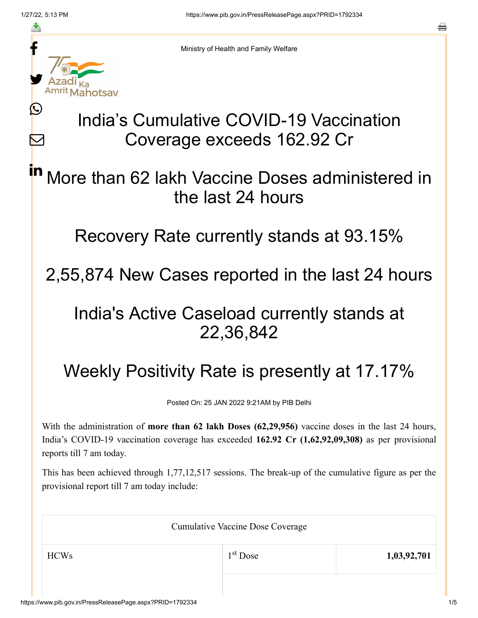≛

Ŀ

 $\bm{\nabla}$ 



Ministry of Health and Family Welfare

# India's Cumulative COVID-19 Vaccination Coverage exceeds 162.92 Cr

### More than 62 lakh Vaccine Doses administered in the last 24 hours in

Recovery Rate currently stands at 93.15%

2,55,874 New Cases reported in the last 24 hours

## India's Active Caseload currently stands at 22,36,842

# Weekly Positivity Rate is presently at 17.17%

Posted On: 25 JAN 2022 9:21AM by PIB Delhi

With the administration of **more than 62 lakh Doses (62,29,956)** vaccine doses in the last 24 hours, India's COVID-19 vaccination coverage has exceeded **162.92 Cr (1,62,92,09,308)** as per provisional reports till 7 am today.

This has been achieved through 1,77,12,517 sessions. The break-up of the cumulative figure as per the provisional report till 7 am today include:

| <b>Cumulative Vaccine Dose Coverage</b> |            |             |  |
|-----------------------------------------|------------|-------------|--|
| <b>HCWs</b>                             | $1st$ Dose | 1,03,92,701 |  |
|                                         |            |             |  |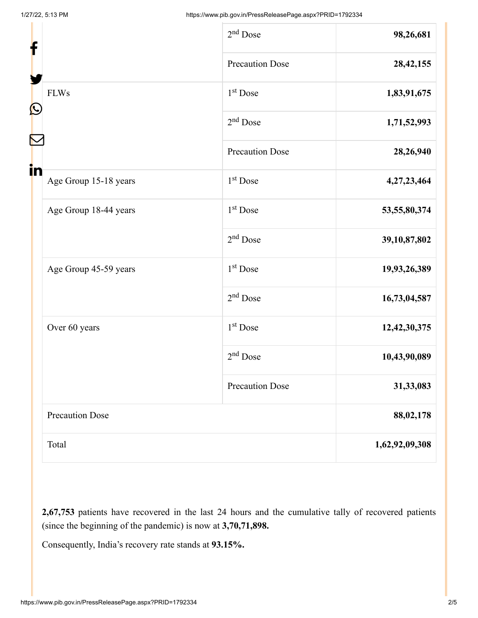| f  |                        | $2nd$ Dose             | 98,26,681       |
|----|------------------------|------------------------|-----------------|
|    |                        | <b>Precaution Dose</b> | 28, 42, 155     |
| C  | <b>FLWs</b>            | 1 <sup>st</sup> Dose   | 1,83,91,675     |
|    |                        | 2 <sup>nd</sup> Dose   | 1,71,52,993     |
|    |                        | <b>Precaution Dose</b> | 28,26,940       |
| in | Age Group 15-18 years  | $1st$ Dose             | 4,27,23,464     |
|    | Age Group 18-44 years  | 1 <sup>st</sup> Dose   | 53, 55, 80, 374 |
|    |                        | $2nd$ Dose             | 39, 10, 87, 802 |
|    | Age Group 45-59 years  | 1 <sup>st</sup> Dose   | 19,93,26,389    |
|    |                        | $2nd$ Dose             | 16,73,04,587    |
|    | Over 60 years          | 1 <sup>st</sup> Dose   | 12,42,30,375    |
|    |                        | 2 <sup>nd</sup> Dose   | 10,43,90,089    |
|    |                        | <b>Precaution Dose</b> | 31,33,083       |
|    | <b>Precaution Dose</b> |                        | 88,02,178       |
|    | Total                  |                        | 1,62,92,09,308  |

**2,67,753** patients have recovered in the last 24 hours and the cumulative tally of recovered patients (since the beginning of the pandemic) is now at **3,70,71,898.**

Consequently, India's recovery rate stands at **93.15%.**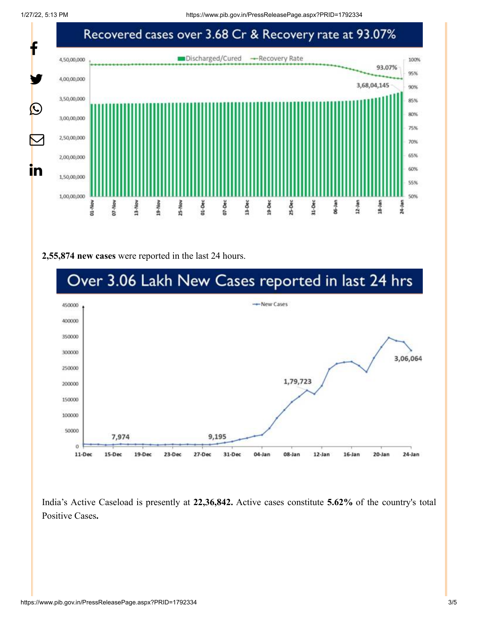1/27/22, 5:13 PM https://www.pib.gov.in/PressReleasePage.aspx?PRID=1792334



#### **2,55,874 new cases** were reported in the last 24 hours.



India's Active Caseload is presently at **22,36,842.** Active cases constitute **5.62%** of the country's total Positive Cases**.**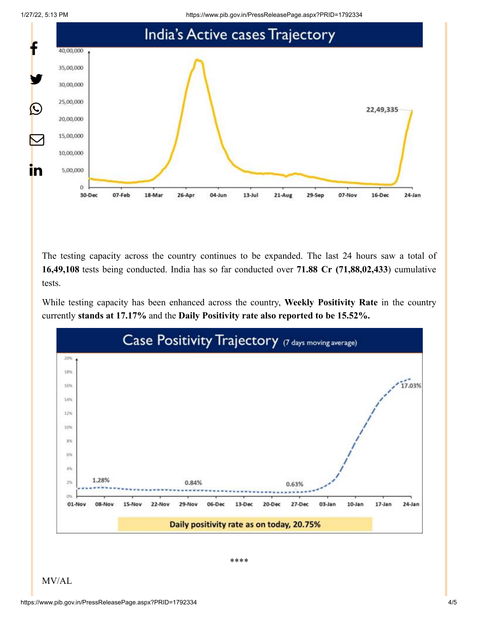1/27/22, 5:13 PM https://www.pib.gov.in/PressReleasePage.aspx?PRID=1792334



The testing capacity across the country continues to be expanded. The last 24 hours saw a total of **16,49,108** tests being conducted. India has so far conducted over **71.88 Cr (71,88,02,433**) cumulative tests.

While testing capacity has been enhanced across the country, **Weekly Positivity Rate** in the country currently **stands at 17.17%** and the **Daily Positivity rate also reported to be 15.52%.**



\*\*\*\*

MV/AL